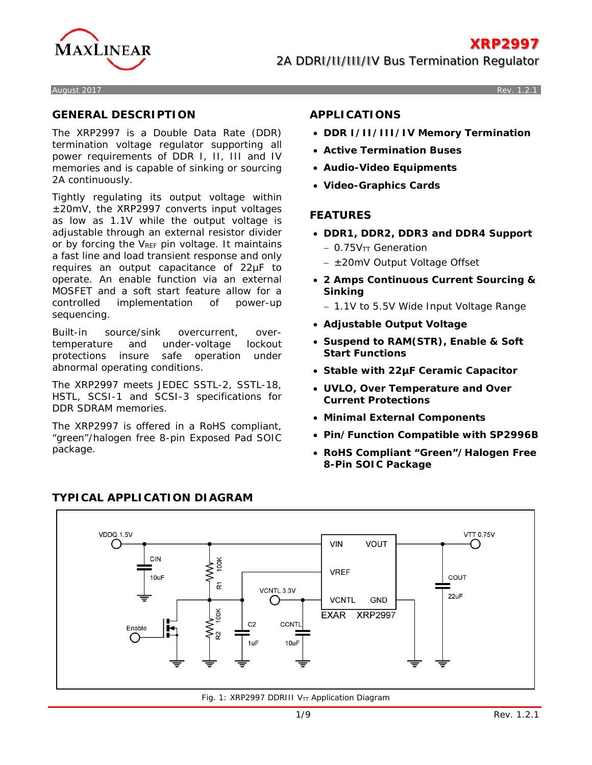

August 2017 Rev. 1.2.1

### **GENERAL DESCRIPTION**

The XRP2997 is a Double Data Rate (DDR) termination voltage regulator supporting all power requirements of DDR I, II, III and IV memories and is capable of sinking or sourcing 2A continuously.

Tightly regulating its output voltage within ±20mV, the XRP2997 converts input voltages as low as 1.1V while the output voltage is adjustable through an external resistor divider or by forcing the VREF pin voltage. It maintains a fast line and load transient response and only requires an output capacitance of 22µF to operate. An enable function via an external MOSFET and a soft start feature allow for a controlled implementation of power-up sequencing.

Built-in source/sink overcurrent, overtemperature and under-voltage lockout protections insure safe operation under abnormal operating conditions.

The XRP2997 meets JEDEC SSTL-2, SSTL-18, HSTL, SCSI-1 and SCSI-3 specifications for DDR SDRAM memories.

The XRP2997 is offered in a RoHS compliant, "green"/halogen free 8-pin Exposed Pad SOIC package.

## **APPLICATIONS**

- **DDR I/II/III/IV Memory Termination**
- **Active Termination Buses**
- **Audio-Video Equipments**
- **Video-Graphics Cards**

### **FEATURES**

- **DDR1, DDR2, DDR3 and DDR4 Support**
	- − 0.75VTT Generation
	- − ±20mV Output Voltage Offset
- **2 Amps Continuous Current Sourcing & Sinking**
	- − 1.1V to 5.5V Wide Input Voltage Range
- **Adjustable Output Voltage**
- **Suspend to RAM(STR), Enable & Soft Start Functions**
- **Stable with 22µF Ceramic Capacitor**
- **UVLO, Over Temperature and Over Current Protections**
- **Minimal External Components**
- **Pin/Function Compatible with SP2996B**
- **RoHS Compliant "Green"/Halogen Free 8-Pin SOIC Package**



**TYPICAL APPLICATION DIAGRAM**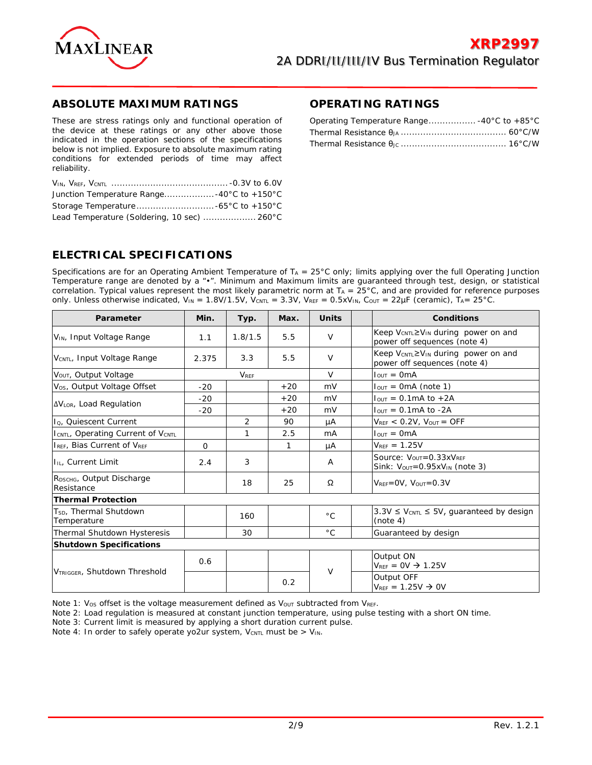

### **ABSOLUTE MAXIMUM RATINGS**

These are stress ratings only and functional operation of the device at these ratings or any other above those indicated in the operation sections of the specifications below is not implied. Exposure to absolute maximum rating conditions for extended periods of time may affect reliability.

| Junction Temperature Range40°C to +150°C    |  |
|---------------------------------------------|--|
|                                             |  |
| Lead Temperature (Soldering, 10 sec)  260°C |  |

#### **OPERATING RATINGS**

## **ELECTRICAL SPECIFICATIONS**

Specifications are for an Operating Ambient Temperature of  $T_A = 25^\circ$ C only; limits applying over the full Operating Junction Temperature range are denoted by a "•". Minimum and Maximum limits are guaranteed through test, design, or statistical correlation. Typical values represent the most likely parametric norm at  $T_A = 25^\circ C$ , and are provided for reference purposes only. Unless otherwise indicated,  $V_{IN} = 1.8V/1.5V$ ,  $V_{CNTL} = 3.3V$ ,  $V_{REF} = 0.5xV_{IN}$ ,  $C_{OUT} = 22\mu F$  (ceramic),  $T_{A} = 25^{\circ}C$ .

| Parameter                                           | Min.     | Typ.           | Max.  | <b>Units</b> | <b>Conditions</b>                                                                                    |
|-----------------------------------------------------|----------|----------------|-------|--------------|------------------------------------------------------------------------------------------------------|
| VIN, Input Voltage Range                            | 1.1      | 1.8/1.5        | 5.5   | $\vee$       | Keep V <sub>CNTL</sub> ≥V <sub>IN</sub> during power on and<br>power off sequences (note 4)          |
| V <sub>CNTL</sub> , Input Voltage Range             | 2.375    | 3.3            | 5.5   | $\vee$       | Keep V <sub>CNTL</sub> ≥V <sub>IN</sub> during power on and<br>power off sequences (note 4)          |
| VOUT, Output Voltage                                |          | <b>VREF</b>    |       | $\vee$       | $IOUT = 0mA$                                                                                         |
| V <sub>os</sub> , Output Voltage Offset             | $-20$    |                | $+20$ | mV           | $I_{OUT} = OmA$ (note 1)                                                                             |
|                                                     | $-20$    |                | $+20$ | mV           | $IOUT = 0.1mA to +2A$                                                                                |
| <b>AVLOR, Load Regulation</b>                       | $-20$    |                | $+20$ | mV           | $IOUT = 0.1mA$ to $-2A$                                                                              |
| I <sub>Q</sub> , Quiescent Current                  |          | $\overline{2}$ | 90    | μA           | $V_{REF}$ < 0.2V, $V_{OUT}$ = OFF                                                                    |
| ICNTL, Operating Current of VCNTL                   |          | 1              | 2.5   | mA           | $I_{\text{OUT}} = OmA$                                                                               |
| I <sub>REF</sub> , Bias Current of V <sub>REF</sub> | $\Omega$ |                | 1     | μA           | $V_{\text{RFF}} = 1.25V$                                                                             |
| <b>In.</b> Current Limit                            | 2.4      | 3              |       | A            | Source: $V_{\text{OUT}} = 0.33xV_{\text{RFF}}$<br>Sink: $V_{\text{OUT}}=0.95xV_{\text{IN}}$ (note 3) |
| RDSCHG, Output Discharge<br>Resistance              |          | 18             | 25    | Ω            | $V_{REF} = OV, V_{OUT} = 0.3V$                                                                       |
| <b>Thermal Protection</b>                           |          |                |       |              |                                                                                                      |
| T <sub>SD</sub> , Thermal Shutdown<br>Temperature   |          | 160            |       | $^{\circ}$ C | $3.3V \leq V_{CNTL} \leq 5V$ , guaranteed by design<br>(note 4)                                      |
| Thermal Shutdown Hysteresis                         |          | 30             |       | $^{\circ}$ C | Guaranteed by design                                                                                 |
| <b>Shutdown Specifications</b>                      |          |                |       |              |                                                                                                      |
| VTRIGGER, Shutdown Threshold                        | 0.6      |                |       | $\vee$       | Output ON<br>$V_{\text{RFF}} = 0V \rightarrow 1.25V$                                                 |
|                                                     |          |                | 0.2   |              | Output OFF<br>$V_{REF} = 1.25V \rightarrow 0V$                                                       |

Note 1: Vos offset is the voltage measurement defined as Vour subtracted from VREF.

Note 2: Load regulation is measured at constant junction temperature, using pulse testing with a short ON time.

Note 3: Current limit is measured by applying a short duration current pulse.

Note 4: In order to safely operate yo2ur system,  $V_{\text{CNTL}}$  must be >  $V_{\text{IN}}$ .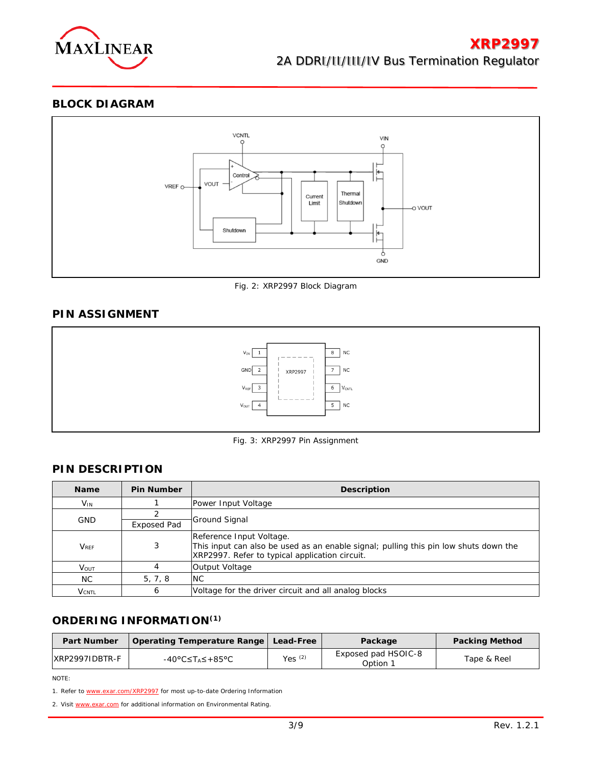

**BLOCK DIAGRAM**



Fig. 2: XRP2997 Block Diagram

## **PIN ASSIGNMENT**



Fig. 3: XRP2997 Pin Assignment

# **PIN DESCRIPTION**

| <b>Name</b>                      | <b>Pin Number</b> | <b>Description</b>                                                                                                                                                 |  |  |
|----------------------------------|-------------------|--------------------------------------------------------------------------------------------------------------------------------------------------------------------|--|--|
| $V_{IN}$                         |                   | Power Input Voltage                                                                                                                                                |  |  |
|                                  |                   |                                                                                                                                                                    |  |  |
| <b>GND</b><br><b>Exposed Pad</b> |                   | <b>Ground Signal</b>                                                                                                                                               |  |  |
| <b>V</b> <sub>RFF</sub>          | 3                 | Reference Input Voltage.<br>This input can also be used as an enable signal; pulling this pin low shuts down the<br>XRP2997. Refer to typical application circuit. |  |  |
| <b>V</b> <sub>OUT</sub>          |                   | Output Voltage                                                                                                                                                     |  |  |
| NC.                              | 5, 7, 8           | <b>NC</b>                                                                                                                                                          |  |  |
| $V_{\text{CNTI}}$                | 6                 | Voltage for the driver circuit and all analog blocks                                                                                                               |  |  |

### **ORDERING INFORMATION(1)**

| <b>Part Number</b> | Operating Temperature Range   Lead-Free |           | Package                         | <b>Packing Method</b> |
|--------------------|-----------------------------------------|-----------|---------------------------------|-----------------------|
| IXRP2997IDBTR-F    | -40°C≤T⊿≤+85°C                          | Yes $(2)$ | Exposed pad HSOIC-8<br>Option 1 | Tape & Reel           |

NOTE:

1. Refer to [www.exar.com/XRP2997](http://www.exar.com/XRP2997) for most up-to-date Ordering Information

2. Visit [www.exar.com](http://www.exar.com/) for additional information on Environmental Rating.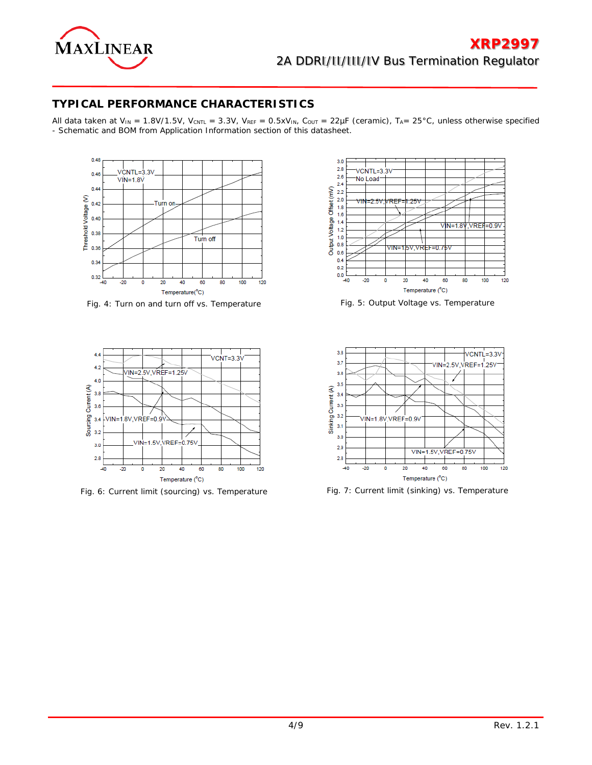

## **TYPICAL PERFORMANCE CHARACTERISTICS**

All data taken at V<sub>IN</sub> = 1.8V/1.5V, V<sub>CNTL</sub> = 3.3V, V<sub>REF</sub> = 0.5xV<sub>IN</sub>, C<sub>OUT</sub> = 22µF (ceramic), T<sub>A</sub>= 25°C, unless otherwise specified - Schematic and BOM from Application Information section of this datasheet.



Fig. 4: Turn on and turn off vs. Temperature Fig. 5: Output Voltage vs. Temperature



Fig. 6: Current limit (sourcing) vs. Temperature Fig. 7: Current limit (sinking) vs. Temperature



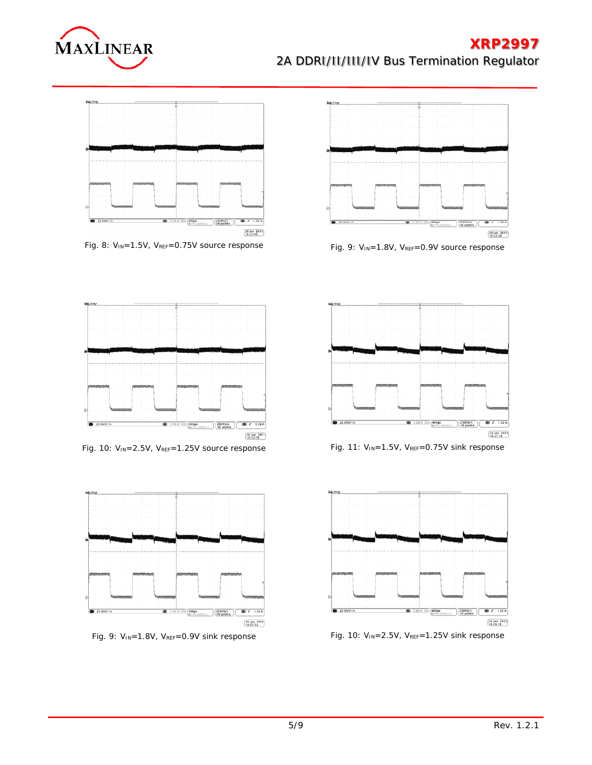# **XRP2997**

 $\left[\frac{24}{15:32:34} \right]$ 



 $20.01\%$ 

# 2A DDRI/II/III/IV Bus Termination Regulator



Fig. 8: V<sub>IN</sub>=1.5V, V<sub>REF</sub>=0.75V source response Fig. 9: V<sub>IN</sub>=1.8V, V<sub>REF</sub>=0.9V source response



Fig. 10: V<sub>IN</sub>=2.5V, V<sub>REF</sub>=1.25V source response Fig. 11: V<sub>IN</sub>=1.5V, V<sub>REF</sub>=0.75V sink response







Fig. 9: V<sub>IN</sub>=1.8V, V<sub>REF</sub>=0.9V sink response Fig. 10: V<sub>IN</sub>=2.5V, V<sub>REF</sub>=1.25V sink response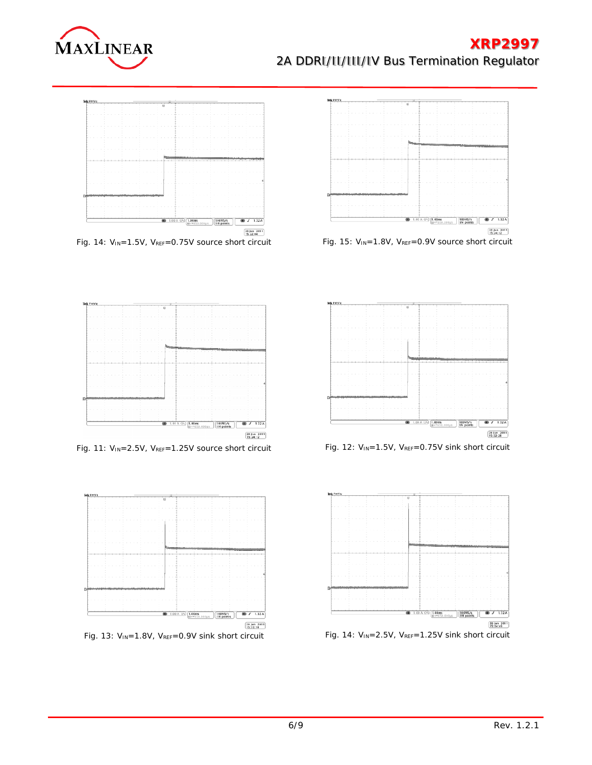# **XRP2997**

# 2A DDRI/II/III/IV Bus Termination Regulator









Fig. 14: V<sub>IN</sub>=1.5V, V<sub>REF</sub>=0.75V source short circuit Fig. 15: V<sub>IN</sub>=1.8V, V<sub>REF</sub>=0.9V source short circuit



Fig. 11: V<sub>IN</sub>=2.5V, V<sub>REF</sub>=1.25V source short circuit Fig. 12: V<sub>IN</sub>=1.5V, V<sub>REF</sub>=0.75V sink short circuit







Fig. 13: V<sub>IN</sub>=1.8V, V<sub>REF</sub>=0.9V sink short circuit Fig. 14: V<sub>IN</sub>=2.5V, V<sub>REF</sub>=1.25V sink short circuit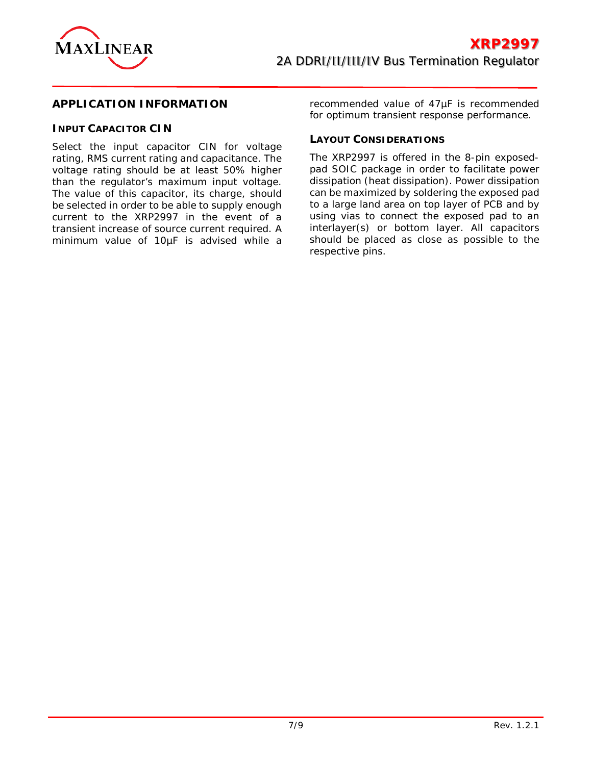

### **APPLICATION INFORMATION**

### **INPUT CAPACITOR CIN**

Select the input capacitor CIN for voltage rating, RMS current rating and capacitance. The voltage rating should be at least 50% higher than the regulator's maximum input voltage. The value of this capacitor, its charge, should be selected in order to be able to supply enough current to the XRP2997 in the event of a transient increase of source current required. A minimum value of 10µF is advised while a

recommended value of 47µF is recommended for optimum transient response performance.

#### **LAYOUT CONSIDERATIONS**

The XRP2997 is offered in the 8-pin exposedpad SOIC package in order to facilitate power dissipation (heat dissipation). Power dissipation can be maximized by soldering the exposed pad to a large land area on top layer of PCB and by using vias to connect the exposed pad to an interlayer(s) or bottom layer. All capacitors should be placed as close as possible to the respective pins.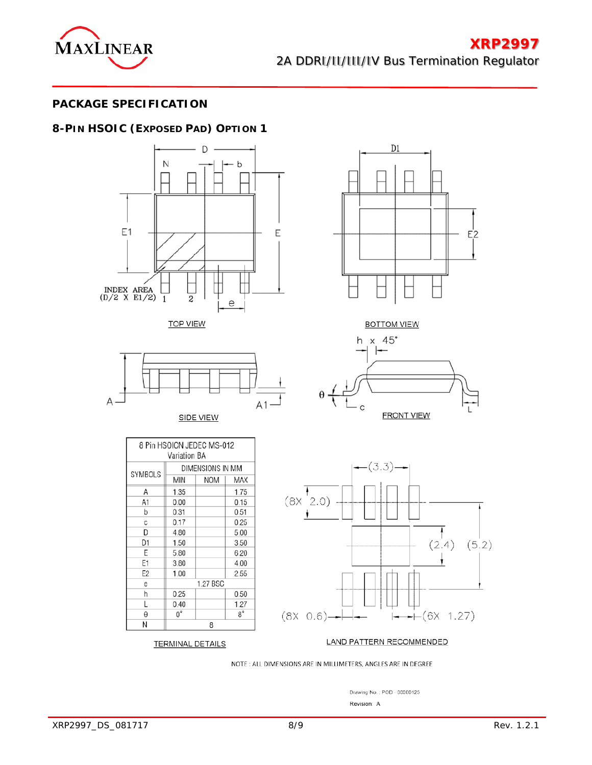

## **PACKAGE SPECIFICATION**

# **8-PIN HSOIC (EXPOSED PAD) OPTION 1**







SIDE VIEW

DIMENSIONS IN MM

**NOM** 

1.27 BSC

8

MAX

1.75

 $0.15$ 

0.51

0.25

5.00

3.50

6.20

4.00

2.55

0.50

1.27

 $8^{\circ}$ 

8 Pin HSOICN JEDEC MS-012 Variation BA

**MIN** 

1.35

 $0.00$ 

 $0.31$ 

0.17

4.80

1.50

5.80

3.80

1.00

0.25

 $0.40$ 

 $0^{\circ}$ 

**TERMINAL DETAILS** 

SYMBOLS

Α

A1

b

С

D

D1

Ε

E1

E<sub>2</sub>

 $\mathop{\mathsf{e}}$ h

L

θ

Ν



**BOTTOM VIEW** 





LAND PATTERN RECOMMENDED

NOTE : ALL DIMENSIONS ARE IN MILLIMETERS, ANGLES ARE IN DEGREE

Drawing No.: POD - 00000125 Revision: A

| XRP2997_DS_081717 | 8/9 | Rev. 1.2.1 |
|-------------------|-----|------------|
|                   |     |            |